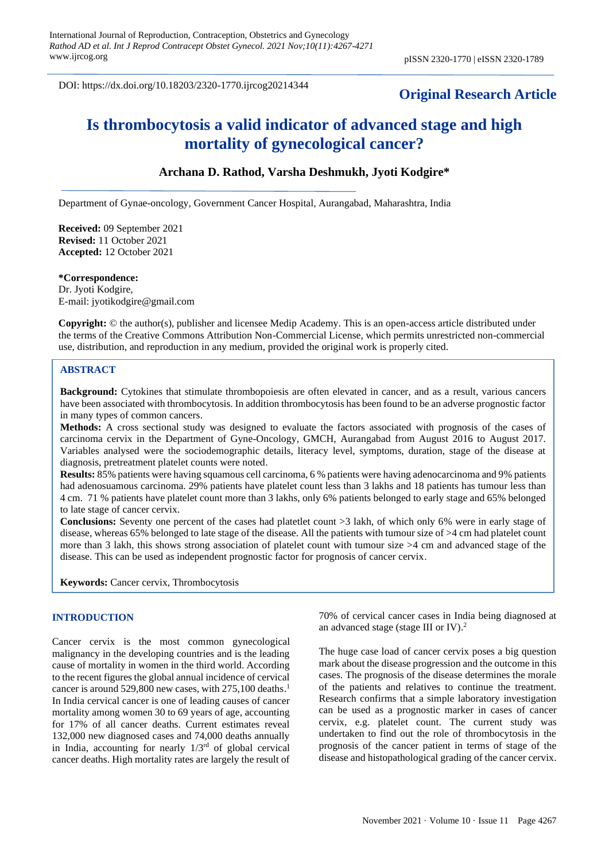DOI: https://dx.doi.org/10.18203/2320-1770.ijrcog20214344

# **Original Research Article**

# **Is thrombocytosis a valid indicator of advanced stage and high mortality of gynecological cancer?**

## **Archana D. Rathod, Varsha Deshmukh, Jyoti Kodgire\***

Department of Gynae-oncology, Government Cancer Hospital, Aurangabad, Maharashtra, India

**Received:** 09 September 2021 **Revised:** 11 October 2021 **Accepted:** 12 October 2021

#### **\*Correspondence:**

Dr. Jyoti Kodgire, E-mail: jyotikodgire@gmail.com

**Copyright:** © the author(s), publisher and licensee Medip Academy. This is an open-access article distributed under the terms of the Creative Commons Attribution Non-Commercial License, which permits unrestricted non-commercial use, distribution, and reproduction in any medium, provided the original work is properly cited.

#### **ABSTRACT**

**Background:** Cytokines that stimulate thrombopoiesis are often elevated in cancer, and as a result, various cancers have been associated with thrombocytosis. In addition thrombocytosis has been found to be an adverse prognostic factor in many types of common cancers.

**Methods:** A cross sectional study was designed to evaluate the factors associated with prognosis of the cases of carcinoma cervix in the Department of Gyne-Oncology, GMCH, Aurangabad from August 2016 to August 2017. Variables analysed were the sociodemographic details, literacy level, symptoms, duration, stage of the disease at diagnosis, pretreatment platelet counts were noted.

**Results:** 85% patients were having squamous cell carcinoma, 6 % patients were having adenocarcinoma and 9% patients had adenosuamous carcinoma. 29% patients have platelet count less than 3 lakhs and 18 patients has tumour less than 4 cm. 71 % patients have platelet count more than 3 lakhs, only 6% patients belonged to early stage and 65% belonged to late stage of cancer cervix.

**Conclusions:** Seventy one percent of the cases had platetlet count >3 lakh, of which only 6% were in early stage of disease, whereas 65% belonged to late stage of the disease. All the patients with tumour size of >4 cm had platelet count more than 3 lakh, this shows strong association of platelet count with tumour size >4 cm and advanced stage of the disease. This can be used as independent prognostic factor for prognosis of cancer cervix.

**Keywords:** Cancer cervix, Thrombocytosis

#### **INTRODUCTION**

Cancer cervix is the most common gynecological malignancy in the developing countries and is the leading cause of mortality in women in the third world. According to the recent figures the global annual incidence of cervical cancer is around 529,800 new cases, with 275,100 deaths. 1 In India cervical cancer is one of leading causes of cancer mortality among women 30 to 69 years of age, accounting for 17% of all cancer deaths. Current estimates reveal 132,000 new diagnosed cases and 74,000 deaths annually in India, accounting for nearly  $1/3<sup>rd</sup>$  of global cervical cancer deaths. High mortality rates are largely the result of 70% of cervical cancer cases in India being diagnosed at an advanced stage (stage III or IV). 2

The huge case load of cancer cervix poses a big question mark about the disease progression and the outcome in this cases. The prognosis of the disease determines the morale of the patients and relatives to continue the treatment. Research confirms that a simple laboratory investigation can be used as a prognostic marker in cases of cancer cervix, e.g. platelet count. The current study was undertaken to find out the role of thrombocytosis in the prognosis of the cancer patient in terms of stage of the disease and histopathological grading of the cancer cervix.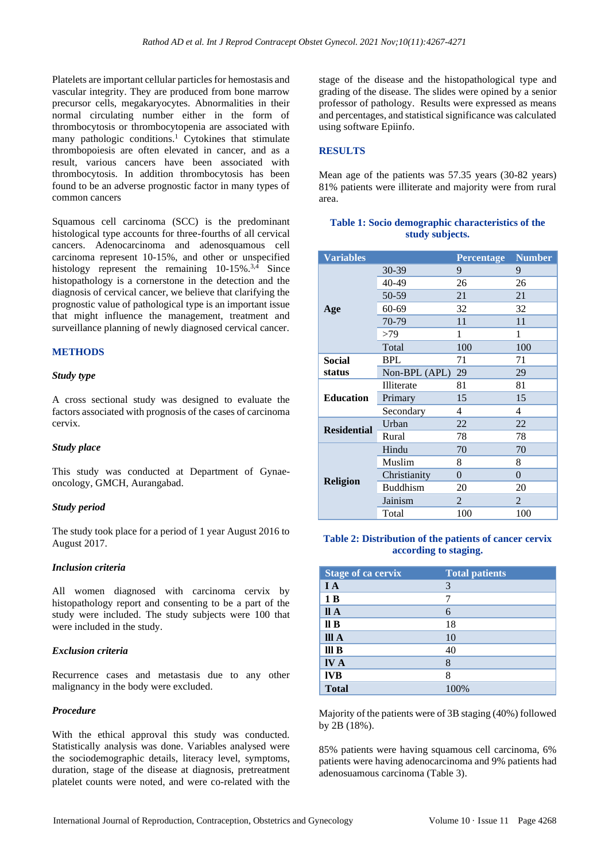Platelets are important cellular particles for hemostasis and vascular integrity. They are produced from bone marrow precursor cells, megakaryocytes. Abnormalities in their normal circulating number either in the form of thrombocytosis or thrombocytopenia are associated with many pathologic conditions. <sup>1</sup> Cytokines that stimulate thrombopoiesis are often elevated in cancer, and as a result, various cancers have been associated with thrombocytosis. In addition thrombocytosis has been found to be an adverse prognostic factor in many types of common cancers

Squamous cell carcinoma (SCC) is the predominant histological type accounts for three-fourths of all cervical cancers. Adenocarcinoma and adenosquamous cell carcinoma represent 10-15%, and other or unspecified histology represent the remaining 10-15%.<sup>3,4</sup> Since histopathology is a cornerstone in the detection and the diagnosis of cervical cancer, we believe that clarifying the prognostic value of pathological type is an important issue that might influence the management, treatment and surveillance planning of newly diagnosed cervical cancer.

## **METHODS**

#### *Study type*

A cross sectional study was designed to evaluate the factors associated with prognosis of the cases of carcinoma cervix.

#### *Study place*

This study was conducted at Department of Gynaeoncology, GMCH, Aurangabad.

#### *Study period*

The study took place for a period of 1 year August 2016 to August 2017.

#### *Inclusion criteria*

All women diagnosed with carcinoma cervix by histopathology report and consenting to be a part of the study were included. The study subjects were 100 that were included in the study.

#### *Exclusion criteria*

Recurrence cases and metastasis due to any other malignancy in the body were excluded.

## *Procedure*

With the ethical approval this study was conducted. Statistically analysis was done. Variables analysed were the sociodemographic details, literacy level, symptoms, duration, stage of the disease at diagnosis, pretreatment platelet counts were noted, and were co-related with the stage of the disease and the histopathological type and grading of the disease. The slides were opined by a senior professor of pathology. Results were expressed as means and percentages, and statistical significance was calculated using software Epiinfo.

## **RESULTS**

Mean age of the patients was 57.35 years (30-82 years) 81% patients were illiterate and majority were from rural area.

## **Table 1: Socio demographic characteristics of the study subjects.**

| <b>Variables</b>   |                 | <b>Percentage</b> | <b>Number</b>  |
|--------------------|-----------------|-------------------|----------------|
|                    | 30-39           | 9                 | 9              |
|                    | 40-49           | 26                | 26             |
|                    | 50-59           | 21                | 21             |
| Age                | 60-69           | 32                | 32             |
|                    | 70-79           | 11                | 11             |
|                    | >79             | 1                 | 1              |
|                    | Total           | 100               | 100            |
| Social             | <b>BPL</b>      | 71                | 71             |
| status             | Non-BPL (APL)   | 29                | 29             |
| <b>Education</b>   | Illiterate      | 81                | 81             |
|                    | Primary         | 15                | 15             |
|                    | Secondary       | 4                 | 4              |
| <b>Residential</b> | Urban           | 22                | 22             |
|                    | Rural           | 78                | 78             |
| <b>Religion</b>    | Hindu           | 70                | 70             |
|                    | Muslim          | 8                 | 8              |
|                    | Christianity    | $\overline{0}$    | $\overline{0}$ |
|                    | <b>Buddhism</b> | 20                | 20             |
|                    | Jainism         | 2                 | 2              |
|                    | Total           | 100               | 100            |

#### **Table 2: Distribution of the patients of cancer cervix according to staging.**

| <b>Stage of ca cervix</b> | <b>Total patients</b> |
|---------------------------|-----------------------|
| IA                        | 3                     |
| 1B                        |                       |
| II A                      | 6                     |
| $\mathbf{II} \mathbf{B}$  | 18                    |
| III A                     | 10                    |
| III <sub>B</sub>          | 40                    |
| <b>IVA</b>                | 8                     |
| <b>IVB</b>                | 8                     |
| <b>Total</b>              | 100%                  |

Majority of the patients were of 3B staging (40%) followed by 2B (18%).

85% patients were having squamous cell carcinoma, 6% patients were having adenocarcinoma and 9% patients had adenosuamous carcinoma (Table 3).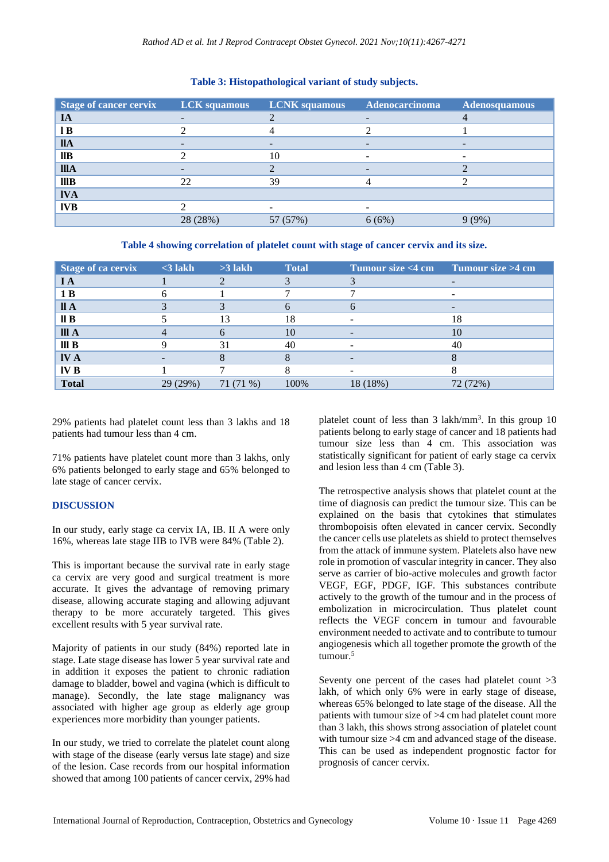| <b>Stage of cancer cervix</b> | <b>LCK</b> squamous | <b>LCNK</b> squamous | Adenocarcinoma | <b>Adenosquamous</b>     |
|-------------------------------|---------------------|----------------------|----------------|--------------------------|
| IA                            |                     |                      |                |                          |
| 1B                            |                     |                      |                |                          |
| <b>IIA</b>                    |                     |                      |                |                          |
| $\mathbf{I}$                  |                     | 10                   | -              | $\overline{\phantom{a}}$ |
| <b>IIIA</b>                   |                     |                      |                |                          |
| IIIB                          | 22                  | 39                   |                |                          |
| <b>IVA</b>                    |                     |                      |                |                          |
| <b>IVB</b>                    |                     |                      |                |                          |
|                               | 28 (28%)            | 57 (57%)             | 6(6%)          | 9(9%)                    |

## **Table 3: Histopathological variant of study subjects.**

**Table 4 showing correlation of platelet count with stage of cancer cervix and its size.**

| Stage of ca cervix       | $\leq$ 3 lakh | $>3$ lakh  | <b>Total</b> | Tumour size <4 cm Tumour size >4 cm |          |
|--------------------------|---------------|------------|--------------|-------------------------------------|----------|
| I A                      |               |            |              |                                     |          |
| 1B                       |               |            |              |                                     |          |
| II A                     |               |            |              |                                     |          |
| $\mathbf{II} \mathbf{B}$ |               | 13         | 18           |                                     | 18       |
| III A                    |               |            | 10           | $\overline{\phantom{0}}$            | 10       |
| III <sub>B</sub>         |               | 31         | 40           |                                     | 40       |
| <b>IVA</b>               |               |            |              |                                     |          |
| IV B                     |               |            |              |                                     |          |
| <b>Total</b>             | 29 (29%)      | $71(71\%)$ | 100%         | 18 (18%)                            | 72 (72%) |

29% patients had platelet count less than 3 lakhs and 18 patients had tumour less than 4 cm.

71% patients have platelet count more than 3 lakhs, only 6% patients belonged to early stage and 65% belonged to late stage of cancer cervix.

# **DISCUSSION**

In our study, early stage ca cervix IA, IB. II A were only 16%, whereas late stage IIB to IVB were 84% (Table 2).

This is important because the survival rate in early stage ca cervix are very good and surgical treatment is more accurate. It gives the advantage of removing primary disease, allowing accurate staging and allowing adjuvant therapy to be more accurately targeted. This gives excellent results with 5 year survival rate.

Majority of patients in our study (84%) reported late in stage. Late stage disease has lower 5 year survival rate and in addition it exposes the patient to chronic radiation damage to bladder, bowel and vagina (which is difficult to manage). Secondly, the late stage malignancy was associated with higher age group as elderly age group experiences more morbidity than younger patients.

In our study, we tried to correlate the platelet count along with stage of the disease (early versus late stage) and size of the lesion. Case records from our hospital information showed that among 100 patients of cancer cervix, 29% had

platelet count of less than 3 lakh/mm<sup>3</sup>. In this group 10 patients belong to early stage of cancer and 18 patients had tumour size less than 4 cm. This association was statistically significant for patient of early stage ca cervix and lesion less than 4 cm (Table 3).

The retrospective analysis shows that platelet count at the time of diagnosis can predict the tumour size. This can be explained on the basis that cytokines that stimulates thrombopoisis often elevated in cancer cervix. Secondly the cancer cells use platelets as shield to protect themselves from the attack of immune system. Platelets also have new role in promotion of vascular integrity in cancer. They also serve as carrier of bio-active molecules and growth factor VEGF, EGF, PDGF, IGF. This substances contribute actively to the growth of the tumour and in the process of embolization in microcirculation. Thus platelet count reflects the VEGF concern in tumour and favourable environment needed to activate and to contribute to tumour angiogenesis which all together promote the growth of the tumour.<sup>5</sup>

Seventy one percent of the cases had platelet count >3 lakh, of which only 6% were in early stage of disease, whereas 65% belonged to late stage of the disease. All the patients with tumour size of >4 cm had platelet count more than 3 lakh, this shows strong association of platelet count with tumour size >4 cm and advanced stage of the disease. This can be used as independent prognostic factor for prognosis of cancer cervix.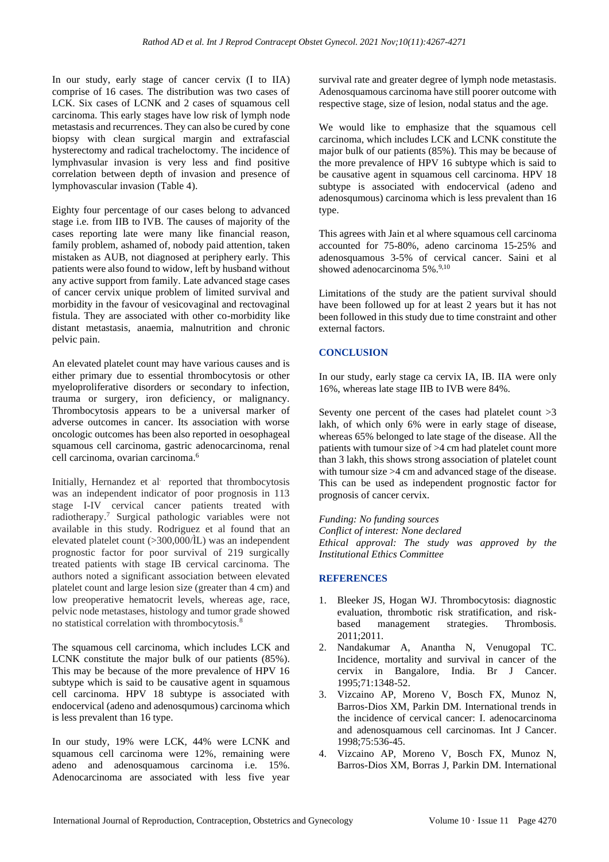In our study, early stage of cancer cervix (I to IIA) comprise of 16 cases. The distribution was two cases of LCK. Six cases of LCNK and 2 cases of squamous cell carcinoma. This early stages have low risk of lymph node metastasis and recurrences. They can also be cured by cone biopsy with clean surgical margin and extrafascial hysterectomy and radical tracheloctomy. The incidence of lymphvasular invasion is very less and find positive correlation between depth of invasion and presence of lymphovascular invasion (Table 4).

Eighty four percentage of our cases belong to advanced stage i.e. from IIB to IVB. The causes of majority of the cases reporting late were many like financial reason, family problem, ashamed of, nobody paid attention, taken mistaken as AUB, not diagnosed at periphery early. This patients were also found to widow, left by husband without any active support from family. Late advanced stage cases of cancer cervix unique problem of limited survival and morbidity in the favour of vesicovaginal and rectovaginal fistula. They are associated with other co-morbidity like distant metastasis, anaemia, malnutrition and chronic pelvic pain.

An elevated platelet count may have various causes and is either primary due to essential thrombocytosis or other myeloproliferative disorders or secondary to infection, trauma or surgery, iron deficiency, or malignancy. Thrombocytosis appears to be a universal marker of adverse outcomes in cancer. Its association with worse oncologic outcomes has been also reported in oesophageal squamous cell carcinoma, gastric adenocarcinoma, renal cell carcinoma, ovarian carcinoma. 6

Initially, Hernandez et al. reported that thrombocytosis was an independent indicator of poor prognosis in 113 stage I-IV cervical cancer patients treated with radiotherapy. <sup>7</sup> Surgical pathologic variables were not available in this study. Rodriguez et al found that an elevated platelet count  $(>300,000/\text{iL})$  was an independent prognostic factor for poor survival of 219 surgically treated patients with stage IB cervical carcinoma. The authors noted a significant association between elevated platelet count and large lesion size (greater than 4 cm) and low preoperative hematocrit levels, whereas age, race, pelvic node metastases, histology and tumor grade showed no statistical correlation with thrombocytosis.<sup>8</sup>

The squamous cell carcinoma, which includes LCK and LCNK constitute the major bulk of our patients (85%). This may be because of the more prevalence of HPV 16 subtype which is said to be causative agent in squamous cell carcinoma. HPV 18 subtype is associated with endocervical (adeno and adenosqumous) carcinoma which is less prevalent than 16 type.

In our study, 19% were LCK, 44% were LCNK and squamous cell carcinoma were 12%, remaining were adeno and adenosquamous carcinoma i.e. 15%. Adenocarcinoma are associated with less five year survival rate and greater degree of lymph node metastasis. Adenosquamous carcinoma have still poorer outcome with respective stage, size of lesion, nodal status and the age.

We would like to emphasize that the squamous cell carcinoma, which includes LCK and LCNK constitute the major bulk of our patients (85%). This may be because of the more prevalence of HPV 16 subtype which is said to be causative agent in squamous cell carcinoma. HPV 18 subtype is associated with endocervical (adeno and adenosqumous) carcinoma which is less prevalent than 16 type.

This agrees with Jain et al where squamous cell carcinoma accounted for 75-80%, adeno carcinoma 15-25% and adenosquamous 3-5% of cervical cancer. Saini et al showed adenocarcinoma 5%.<sup>9,10</sup>

Limitations of the study are the patient survival should have been followed up for at least 2 years but it has not been followed in this study due to time constraint and other external factors.

# **CONCLUSION**

In our study, early stage ca cervix IA, IB. IIA were only 16%, whereas late stage IIB to IVB were 84%.

Seventy one percent of the cases had platelet count >3 lakh, of which only 6% were in early stage of disease, whereas 65% belonged to late stage of the disease. All the patients with tumour size of >4 cm had platelet count more than 3 lakh, this shows strong association of platelet count with tumour size >4 cm and advanced stage of the disease. This can be used as independent prognostic factor for prognosis of cancer cervix.

*Funding: No funding sources Conflict of interest: None declared Ethical approval: The study was approved by the Institutional Ethics Committee*

# **REFERENCES**

- 1. Bleeker JS, Hogan WJ. Thrombocytosis: diagnostic evaluation, thrombotic risk stratification, and riskbased management strategies. Thrombosis.  $2011:2011$
- 2. Nandakumar A, Anantha N, Venugopal TC. Incidence, mortality and survival in cancer of the cervix in Bangalore, India. Br J Cancer. 1995;71:1348-52.
- 3. Vizcaino AP, Moreno V, Bosch FX, Munoz N, Barros-Dios XM, Parkin DM. International trends in the incidence of cervical cancer: I. adenocarcinoma and adenosquamous cell carcinomas. Int J Cancer. 1998;75:536-45.
- 4. Vizcaino AP, Moreno V, Bosch FX, Munoz N, Barros-Dios XM, Borras J, Parkin DM. International